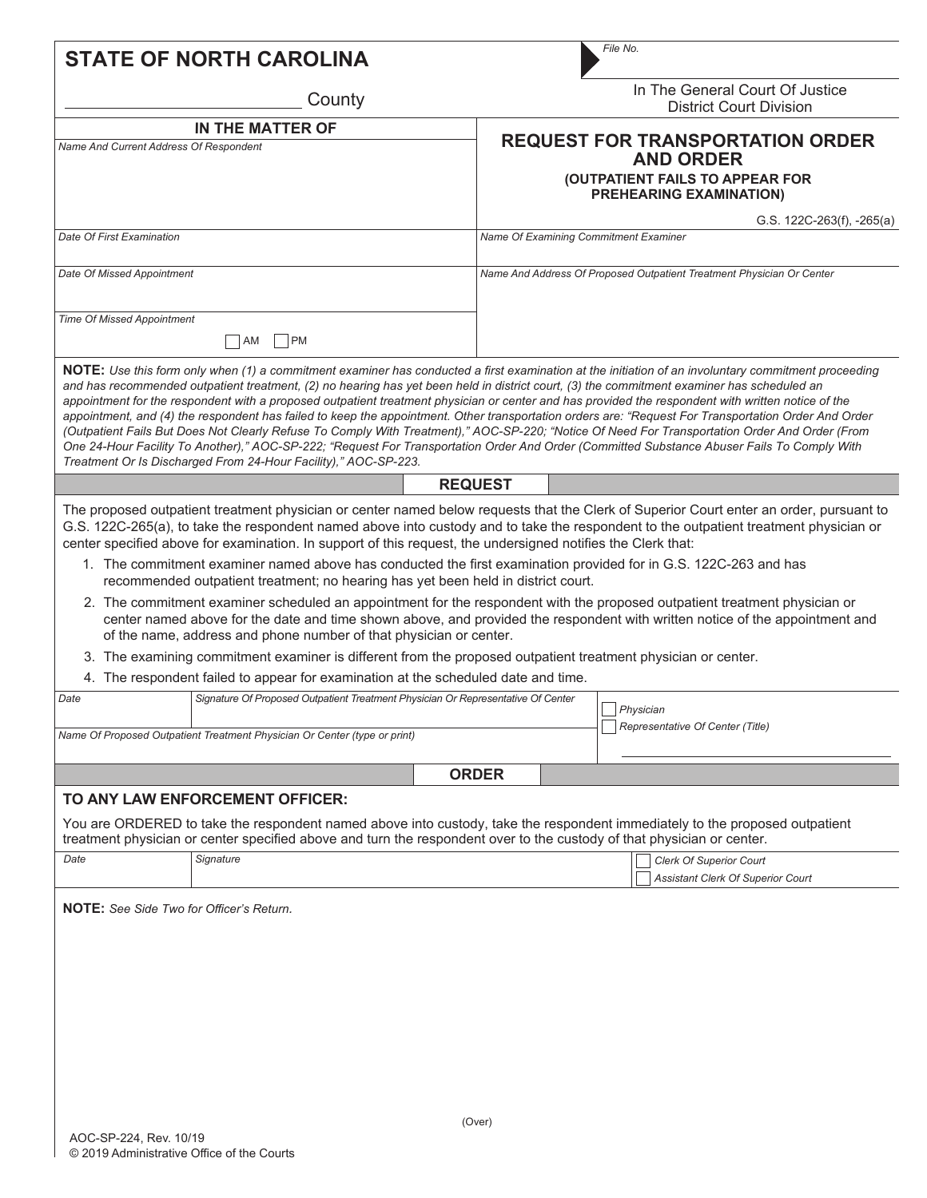|                                                                                                                                                                                                                                                                                                                                   | File No.                                                                                                                                                                                                                                                                                                                                                                                                                                                                                                                                                                                                                                                                                                                                                                                                                                                                                                         |  |  |
|-----------------------------------------------------------------------------------------------------------------------------------------------------------------------------------------------------------------------------------------------------------------------------------------------------------------------------------|------------------------------------------------------------------------------------------------------------------------------------------------------------------------------------------------------------------------------------------------------------------------------------------------------------------------------------------------------------------------------------------------------------------------------------------------------------------------------------------------------------------------------------------------------------------------------------------------------------------------------------------------------------------------------------------------------------------------------------------------------------------------------------------------------------------------------------------------------------------------------------------------------------------|--|--|
| In The General Court Of Justice<br><b>District Court Division</b>                                                                                                                                                                                                                                                                 |                                                                                                                                                                                                                                                                                                                                                                                                                                                                                                                                                                                                                                                                                                                                                                                                                                                                                                                  |  |  |
|                                                                                                                                                                                                                                                                                                                                   | <b>REQUEST FOR TRANSPORTATION ORDER</b>                                                                                                                                                                                                                                                                                                                                                                                                                                                                                                                                                                                                                                                                                                                                                                                                                                                                          |  |  |
|                                                                                                                                                                                                                                                                                                                                   | <b>AND ORDER</b>                                                                                                                                                                                                                                                                                                                                                                                                                                                                                                                                                                                                                                                                                                                                                                                                                                                                                                 |  |  |
| (OUTPATIENT FAILS TO APPEAR FOR<br><b>PREHEARING EXAMINATION)</b>                                                                                                                                                                                                                                                                 |                                                                                                                                                                                                                                                                                                                                                                                                                                                                                                                                                                                                                                                                                                                                                                                                                                                                                                                  |  |  |
|                                                                                                                                                                                                                                                                                                                                   | G.S. $122C-263(f)$ , $-265(a)$                                                                                                                                                                                                                                                                                                                                                                                                                                                                                                                                                                                                                                                                                                                                                                                                                                                                                   |  |  |
| Name Of Examining Commitment Examiner                                                                                                                                                                                                                                                                                             |                                                                                                                                                                                                                                                                                                                                                                                                                                                                                                                                                                                                                                                                                                                                                                                                                                                                                                                  |  |  |
| Name And Address Of Proposed Outpatient Treatment Physician Or Center                                                                                                                                                                                                                                                             |                                                                                                                                                                                                                                                                                                                                                                                                                                                                                                                                                                                                                                                                                                                                                                                                                                                                                                                  |  |  |
|                                                                                                                                                                                                                                                                                                                                   |                                                                                                                                                                                                                                                                                                                                                                                                                                                                                                                                                                                                                                                                                                                                                                                                                                                                                                                  |  |  |
|                                                                                                                                                                                                                                                                                                                                   |                                                                                                                                                                                                                                                                                                                                                                                                                                                                                                                                                                                                                                                                                                                                                                                                                                                                                                                  |  |  |
|                                                                                                                                                                                                                                                                                                                                   | NOTE: Use this form only when (1) a commitment examiner has conducted a first examination at the initiation of an involuntary commitment proceeding<br>and has recommended outpatient treatment, (2) no hearing has yet been held in district court, (3) the commitment examiner has scheduled an<br>appointment for the respondent with a proposed outpatient treatment physician or center and has provided the respondent with written notice of the<br>appointment, and (4) the respondent has failed to keep the appointment. Other transportation orders are: "Request For Transportation Order And Order<br>(Outpatient Fails But Does Not Clearly Refuse To Comply With Treatment)," AOC-SP-220; "Notice Of Need For Transportation Order And Order (From<br>One 24-Hour Facility To Another)," AOC-SP-222; "Request For Transportation Order And Order (Committed Substance Abuser Fails To Comply With |  |  |
| <b>REQUEST</b>                                                                                                                                                                                                                                                                                                                    |                                                                                                                                                                                                                                                                                                                                                                                                                                                                                                                                                                                                                                                                                                                                                                                                                                                                                                                  |  |  |
| recommended outpatient treatment; no hearing has yet been held in district court.<br>of the name, address and phone number of that physician or center.<br>4. The respondent failed to appear for examination at the scheduled date and time.<br>Signature Of Proposed Outpatient Treatment Physician Or Representative Of Center | center specified above for examination. In support of this request, the undersigned notifies the Clerk that:<br>1. The commitment examiner named above has conducted the first examination provided for in G.S. 122C-263 and has<br>2. The commitment examiner scheduled an appointment for the respondent with the proposed outpatient treatment physician or<br>center named above for the date and time shown above, and provided the respondent with written notice of the appointment and<br>3. The examining commitment examiner is different from the proposed outpatient treatment physician or center.<br>Physician                                                                                                                                                                                                                                                                                     |  |  |
|                                                                                                                                                                                                                                                                                                                                   | Representative Of Center (Title)                                                                                                                                                                                                                                                                                                                                                                                                                                                                                                                                                                                                                                                                                                                                                                                                                                                                                 |  |  |
|                                                                                                                                                                                                                                                                                                                                   |                                                                                                                                                                                                                                                                                                                                                                                                                                                                                                                                                                                                                                                                                                                                                                                                                                                                                                                  |  |  |
| <b>ORDER</b>                                                                                                                                                                                                                                                                                                                      |                                                                                                                                                                                                                                                                                                                                                                                                                                                                                                                                                                                                                                                                                                                                                                                                                                                                                                                  |  |  |
|                                                                                                                                                                                                                                                                                                                                   | You are ORDERED to take the respondent named above into custody, take the respondent immediately to the proposed outpatient<br>treatment physician or center specified above and turn the respondent over to the custody of that physician or center.<br><b>Clerk Of Superior Court</b>                                                                                                                                                                                                                                                                                                                                                                                                                                                                                                                                                                                                                          |  |  |
|                                                                                                                                                                                                                                                                                                                                   | <b>Assistant Clerk Of Superior Court</b>                                                                                                                                                                                                                                                                                                                                                                                                                                                                                                                                                                                                                                                                                                                                                                                                                                                                         |  |  |
|                                                                                                                                                                                                                                                                                                                                   |                                                                                                                                                                                                                                                                                                                                                                                                                                                                                                                                                                                                                                                                                                                                                                                                                                                                                                                  |  |  |
|                                                                                                                                                                                                                                                                                                                                   |                                                                                                                                                                                                                                                                                                                                                                                                                                                                                                                                                                                                                                                                                                                                                                                                                                                                                                                  |  |  |